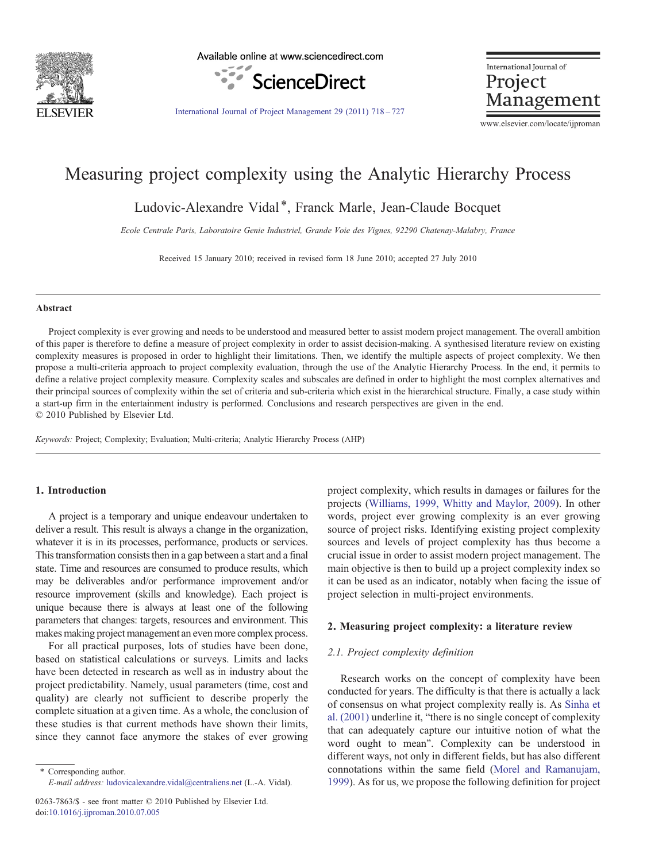

Available online at www.sciencedirect.com



International Journal of Project Management

[International Journal of Project Management 29 \(2011\) 718](http://dx.doi.org/10.1016/j.ijproman.2010.07.005)–727

www.elsevier.com/locate/ijproman

## Measuring project complexity using the Analytic Hierarchy Process

Ludovic-Alexandre Vidal\*, Franck Marle, Jean-Claude Bocquet

Ecole Centrale Paris, Laboratoire Genie Industriel, Grande Voie des Vignes, 92290 Chatenay-Malabry, France

Received 15 January 2010; received in revised form 18 June 2010; accepted 27 July 2010

### Abstract

Project complexity is ever growing and needs to be understood and measured better to assist modern project management. The overall ambition of this paper is therefore to define a measure of project complexity in order to assist decision-making. A synthesised literature review on existing complexity measures is proposed in order to highlight their limitations. Then, we identify the multiple aspects of project complexity. We then propose a multi-criteria approach to project complexity evaluation, through the use of the Analytic Hierarchy Process. In the end, it permits to define a relative project complexity measure. Complexity scales and subscales are defined in order to highlight the most complex alternatives and their principal sources of complexity within the set of criteria and sub-criteria which exist in the hierarchical structure. Finally, a case study within a start-up firm in the entertainment industry is performed. Conclusions and research perspectives are given in the end. © 2010 Published by Elsevier Ltd.

Keywords: Project; Complexity; Evaluation; Multi-criteria; Analytic Hierarchy Process (AHP)

#### 1. Introduction

A project is a temporary and unique endeavour undertaken to deliver a result. This result is always a change in the organization, whatever it is in its processes, performance, products or services. This transformation consists then in a gap between a start and a final state. Time and resources are consumed to produce results, which may be deliverables and/or performance improvement and/or resource improvement (skills and knowledge). Each project is unique because there is always at least one of the following parameters that changes: targets, resources and environment. This makes making project management an even more complex process.

For all practical purposes, lots of studies have been done, based on statistical calculations or surveys. Limits and lacks have been detected in research as well as in industry about the project predictability. Namely, usual parameters (time, cost and quality) are clearly not sufficient to describe properly the complete situation at a given time. As a whole, the conclusion of these studies is that current methods have shown their limits, since they cannot face anymore the stakes of ever growing

⁎ Corresponding author. E-mail address: [ludovicalexandre.vidal@centraliens.net](mailto:ludovicalexandre.vidal@centraliens.net) (L.-A. Vidal). project complexity, which results in damages or failures for the projects ([Williams, 1999, Whitty and Maylor, 2009\)](#page--1-0). In other words, project ever growing complexity is an ever growing source of project risks. Identifying existing project complexity sources and levels of project complexity has thus become a crucial issue in order to assist modern project management. The main objective is then to build up a project complexity index so it can be used as an indicator, notably when facing the issue of project selection in multi-project environments.

#### 2. Measuring project complexity: a literature review

#### 2.1. Project complexity definition

Research works on the concept of complexity have been conducted for years. The difficulty is that there is actually a lack of consensus on what project complexity really is. As [Sinha et](#page--1-0) [al. \(2001\)](#page--1-0) underline it, "there is no single concept of complexity that can adequately capture our intuitive notion of what the word ought to mean". Complexity can be understood in different ways, not only in different fields, but has also different connotations within the same field ([Morel and Ramanujam,](#page--1-0) [1999\)](#page--1-0). As for us, we propose the following definition for project

<sup>0263-7863/\$ -</sup> see front matter © 2010 Published by Elsevier Ltd. doi:[10.1016/j.ijproman.2010.07.005](http://dx.doi.org/10.1016/j.ijproman.2010.07.005)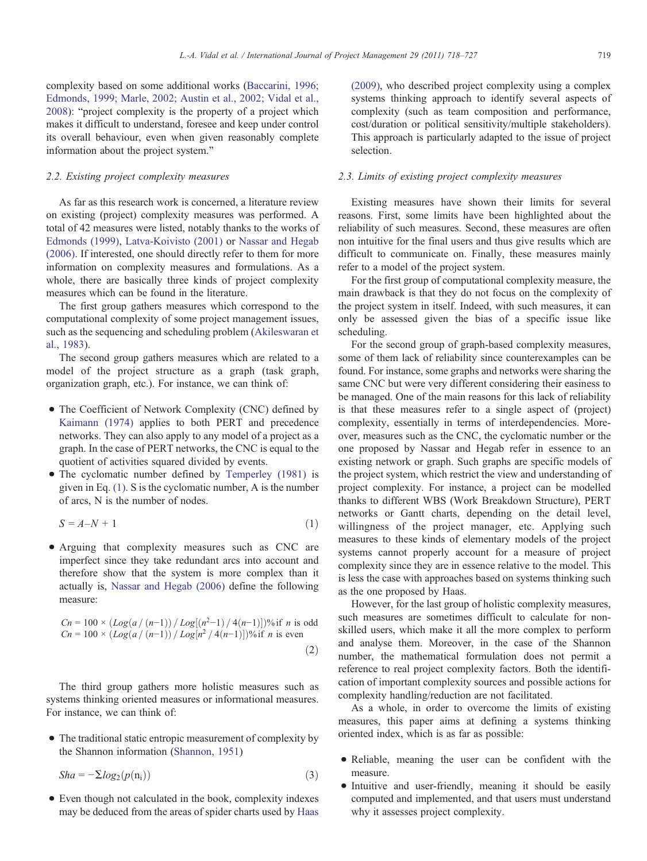complexity based on some additional works [\(Baccarini, 1996;](#page--1-0) [Edmonds, 1999; Marle, 2002; Austin et al., 2002; Vidal et al.,](#page--1-0) [2008](#page--1-0)): "project complexity is the property of a project which makes it difficult to understand, foresee and keep under control its overall behaviour, even when given reasonably complete information about the project system."

#### 2.2. Existing project complexity measures

As far as this research work is concerned, a literature review on existing (project) complexity measures was performed. A total of 42 measures were listed, notably thanks to the works of [Edmonds \(1999\),](#page--1-0) [Latva-Koivisto \(2001\)](#page--1-0) or [Nassar and Hegab](#page--1-0) [\(2006\).](#page--1-0) If interested, one should directly refer to them for more information on complexity measures and formulations. As a whole, there are basically three kinds of project complexity measures which can be found in the literature.

The first group gathers measures which correspond to the computational complexity of some project management issues, such as the sequencing and scheduling problem [\(Akileswaran et](#page--1-0) [al., 1983\)](#page--1-0).

The second group gathers measures which are related to a model of the project structure as a graph (task graph, organization graph, etc.). For instance, we can think of:

- The Coefficient of Network Complexity (CNC) defined by [Kaimann \(1974\)](#page--1-0) applies to both PERT and precedence networks. They can also apply to any model of a project as a graph. In the case of PERT networks, the CNC is equal to the quotient of activities squared divided by events.
- The cyclomatic number defined by [Temperley \(1981\)](#page--1-0) is given in Eq. (1). S is the cyclomatic number, A is the number of arcs, N is the number of nodes.

$$
S = A - N + 1 \tag{1}
$$

• Arguing that complexity measures such as CNC are imperfect since they take redundant arcs into account and therefore show that the system is more complex than it actually is, [Nassar and Hegab \(2006\)](#page--1-0) define the following measure:

$$
Cn = 100 \times (Log(a/(n-1))/Log[(n^2-1)/4(n-1)])\% \text{ if } n \text{ is odd} Cn = 100 \times (Log(a/(n-1))/Log[n^2/4(n-1)])\% \text{ if } n \text{ is even}
$$
\n(2)

The third group gathers more holistic measures such as systems thinking oriented measures or informational measures. For instance, we can think of:

• The traditional static entropic measurement of complexity by the Shannon information [\(Shannon, 1951](#page--1-0))

 $Sha = -\sum log_2(p(n_i))$  (3)

• Even though not calculated in the book, complexity indexes may be deduced from the areas of spider charts used by [Haas](#page--1-0) [\(2009\),](#page--1-0) who described project complexity using a complex systems thinking approach to identify several aspects of complexity (such as team composition and performance, cost/duration or political sensitivity/multiple stakeholders). This approach is particularly adapted to the issue of project selection.

### 2.3. Limits of existing project complexity measures

Existing measures have shown their limits for several reasons. First, some limits have been highlighted about the reliability of such measures. Second, these measures are often non intuitive for the final users and thus give results which are difficult to communicate on. Finally, these measures mainly refer to a model of the project system.

For the first group of computational complexity measure, the main drawback is that they do not focus on the complexity of the project system in itself. Indeed, with such measures, it can only be assessed given the bias of a specific issue like scheduling.

For the second group of graph-based complexity measures, some of them lack of reliability since counterexamples can be found. For instance, some graphs and networks were sharing the same CNC but were very different considering their easiness to be managed. One of the main reasons for this lack of reliability is that these measures refer to a single aspect of (project) complexity, essentially in terms of interdependencies. Moreover, measures such as the CNC, the cyclomatic number or the one proposed by Nassar and Hegab refer in essence to an existing network or graph. Such graphs are specific models of the project system, which restrict the view and understanding of project complexity. For instance, a project can be modelled thanks to different WBS (Work Breakdown Structure), PERT networks or Gantt charts, depending on the detail level, willingness of the project manager, etc. Applying such measures to these kinds of elementary models of the project systems cannot properly account for a measure of project complexity since they are in essence relative to the model. This is less the case with approaches based on systems thinking such as the one proposed by Haas.

However, for the last group of holistic complexity measures, such measures are sometimes difficult to calculate for nonskilled users, which make it all the more complex to perform and analyse them. Moreover, in the case of the Shannon number, the mathematical formulation does not permit a reference to real project complexity factors. Both the identification of important complexity sources and possible actions for complexity handling/reduction are not facilitated.

As a whole, in order to overcome the limits of existing measures, this paper aims at defining a systems thinking oriented index, which is as far as possible:

- Reliable, meaning the user can be confident with the measure.
- Intuitive and user-friendly, meaning it should be easily computed and implemented, and that users must understand why it assesses project complexity.